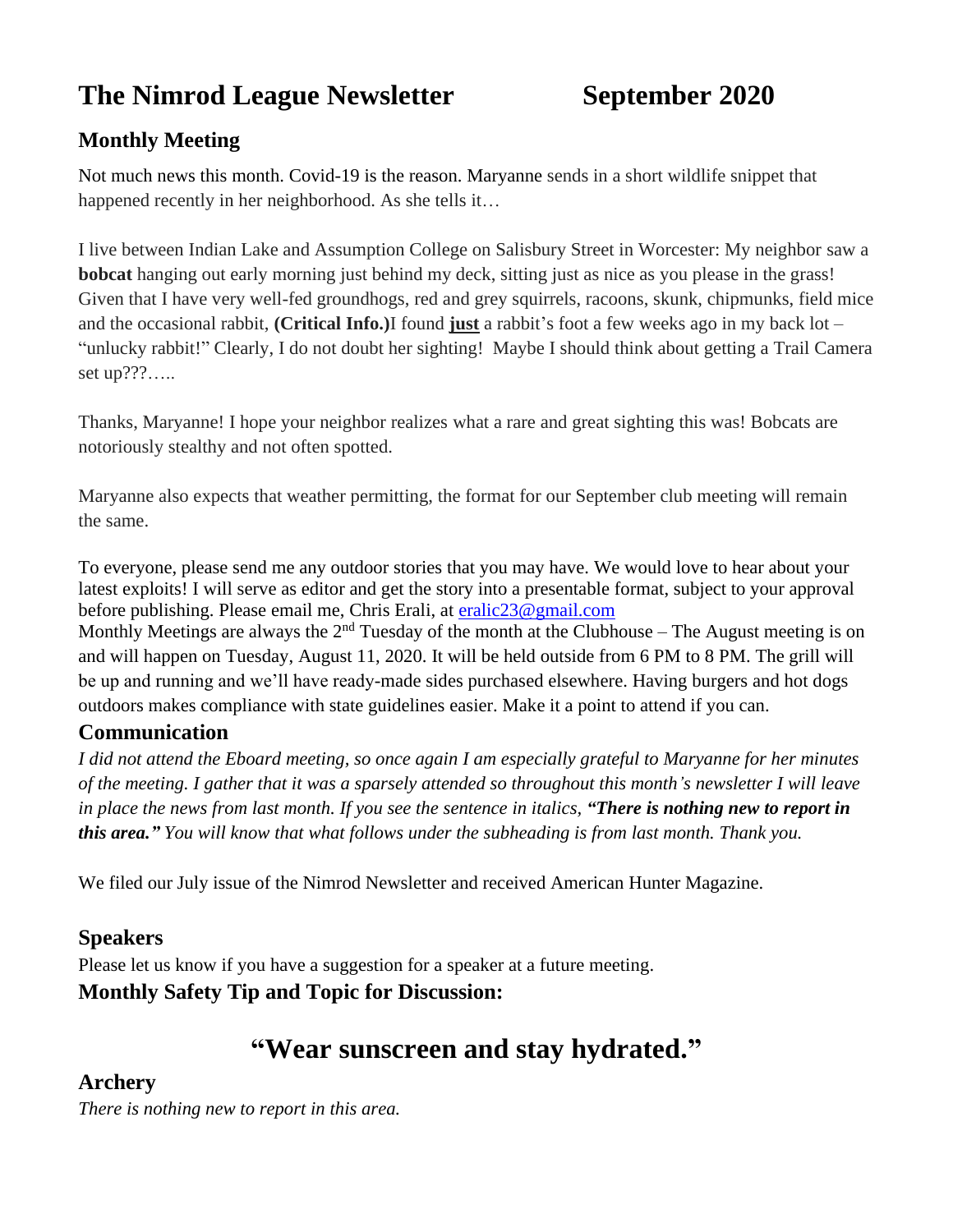# **The Nimrod League Newsletter September 2020**

# **Monthly Meeting**

Not much news this month. Covid-19 is the reason. Maryanne sends in a short wildlife snippet that happened recently in her neighborhood. As she tells it…

I live between Indian Lake and Assumption College on Salisbury Street in Worcester: My neighbor saw a **bobcat** hanging out early morning just behind my deck, sitting just as nice as you please in the grass! Given that I have very well-fed groundhogs, red and grey squirrels, racoons, skunk, chipmunks, field mice and the occasional rabbit, **(Critical Info.)**I found **just** a rabbit's foot a few weeks ago in my back lot – "unlucky rabbit!" Clearly, I do not doubt her sighting! Maybe I should think about getting a Trail Camera set up???…..

Thanks, Maryanne! I hope your neighbor realizes what a rare and great sighting this was! Bobcats are notoriously stealthy and not often spotted.

Maryanne also expects that weather permitting, the format for our September club meeting will remain the same.

To everyone, please send me any outdoor stories that you may have. We would love to hear about your latest exploits! I will serve as editor and get the story into a presentable format, subject to your approval before publishing. Please email me, Chris Erali, at [eralic23@gmail.com](mailto:eralic23@gmail.com)

Monthly Meetings are always the  $2<sup>nd</sup>$  Tuesday of the month at the Clubhouse – The August meeting is on and will happen on Tuesday, August 11, 2020. It will be held outside from 6 PM to 8 PM. The grill will be up and running and we'll have ready-made sides purchased elsewhere. Having burgers and hot dogs outdoors makes compliance with state guidelines easier. Make it a point to attend if you can.

#### **Communication**

*I did not attend the Eboard meeting, so once again I am especially grateful to Maryanne for her minutes of the meeting. I gather that it was a sparsely attended so throughout this month's newsletter I will leave in place the news from last month. If you see the sentence in italics, "There is nothing new to report in this area." You will know that what follows under the subheading is from last month. Thank you.*

We filed our July issue of the Nimrod Newsletter and received American Hunter Magazine.

#### **Speakers**

Please let us know if you have a suggestion for a speaker at a future meeting. **Monthly Safety Tip and Topic for Discussion:** 

# **"Wear sunscreen and stay hydrated."**

#### **Archery**

*There is nothing new to report in this area.*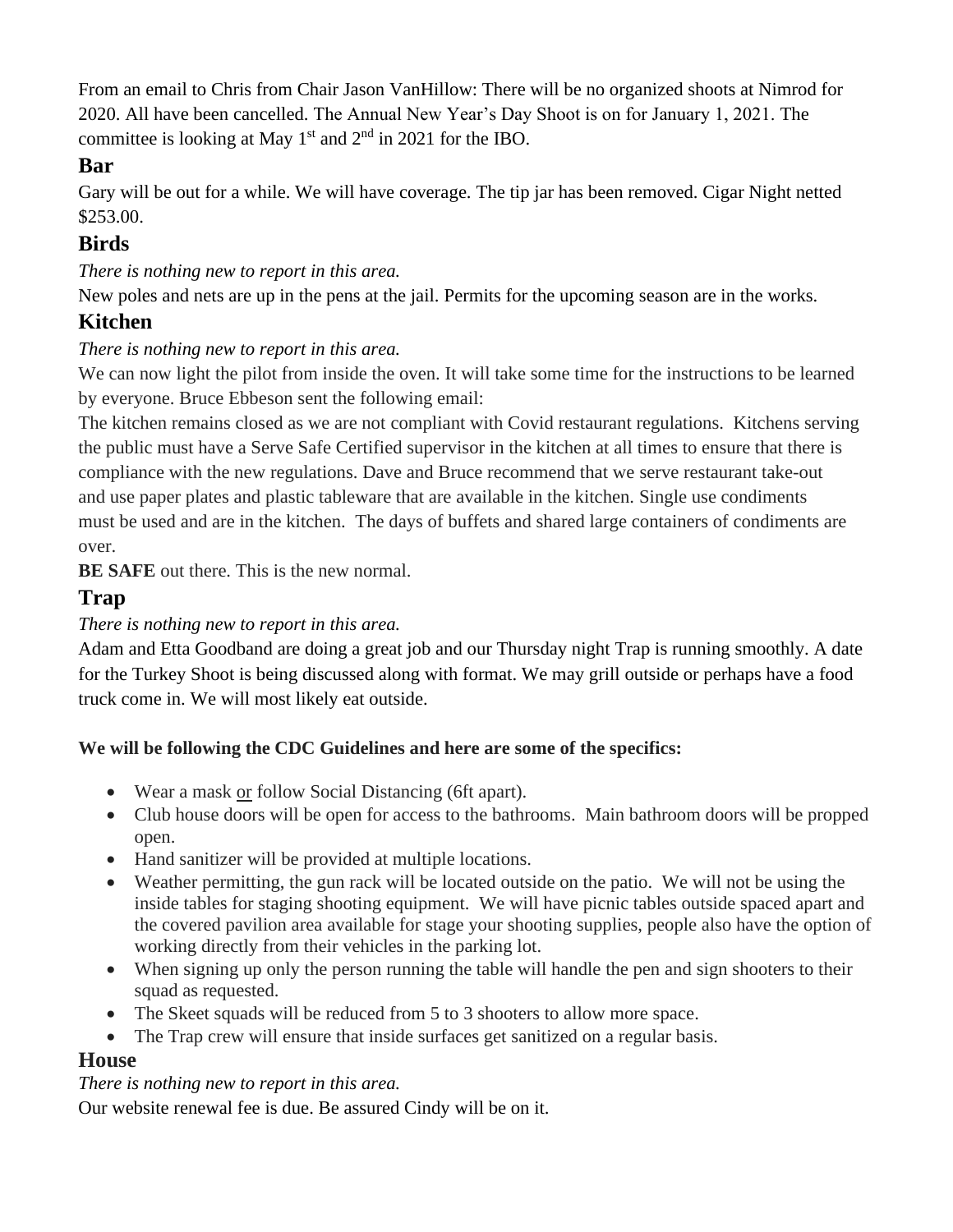From an email to Chris from Chair Jason VanHillow: There will be no organized shoots at Nimrod for 2020. All have been cancelled. The Annual New Year's Day Shoot is on for January 1, 2021. The committee is looking at May  $1<sup>st</sup>$  and  $2<sup>nd</sup>$  in 2021 for the IBO.

## **Bar**

Gary will be out for a while. We will have coverage. The tip jar has been removed. Cigar Night netted \$253.00.

# **Birds**

*There is nothing new to report in this area.*

New poles and nets are up in the pens at the jail. Permits for the upcoming season are in the works.

# **Kitchen**

#### *There is nothing new to report in this area.*

We can now light the pilot from inside the oven. It will take some time for the instructions to be learned by everyone. Bruce Ebbeson sent the following email:

The kitchen remains closed as we are not compliant with Covid restaurant regulations. Kitchens serving the public must have a Serve Safe Certified supervisor in the kitchen at all times to ensure that there is compliance with the new regulations. Dave and Bruce recommend that we serve restaurant take-out and use paper plates and plastic tableware that are available in the kitchen. Single use condiments must be used and are in the kitchen. The days of buffets and shared large containers of condiments are over.

**BE SAFE** out there. This is the new normal.

# **Trap**

#### *There is nothing new to report in this area.*

Adam and Etta Goodband are doing a great job and our Thursday night Trap is running smoothly. A date for the Turkey Shoot is being discussed along with format. We may grill outside or perhaps have a food truck come in. We will most likely eat outside.

#### **We will be following the CDC Guidelines and here are some of the specifics:**

- Wear a mask or follow Social Distancing (6ft apart).
- Club house doors will be open for access to the bathrooms. Main bathroom doors will be propped open.
- Hand sanitizer will be provided at multiple locations.
- Weather permitting, the gun rack will be located outside on the patio. We will not be using the inside tables for staging shooting equipment. We will have picnic tables outside spaced apart and the covered pavilion area available for stage your shooting supplies, people also have the option of working directly from their vehicles in the parking lot.
- When signing up only the person running the table will handle the pen and sign shooters to their squad as requested.
- The Skeet squads will be reduced from 5 to 3 shooters to allow more space.
- The Trap crew will ensure that inside surfaces get sanitized on a regular basis.

## **House**

#### *There is nothing new to report in this area.*

Our website renewal fee is due. Be assured Cindy will be on it.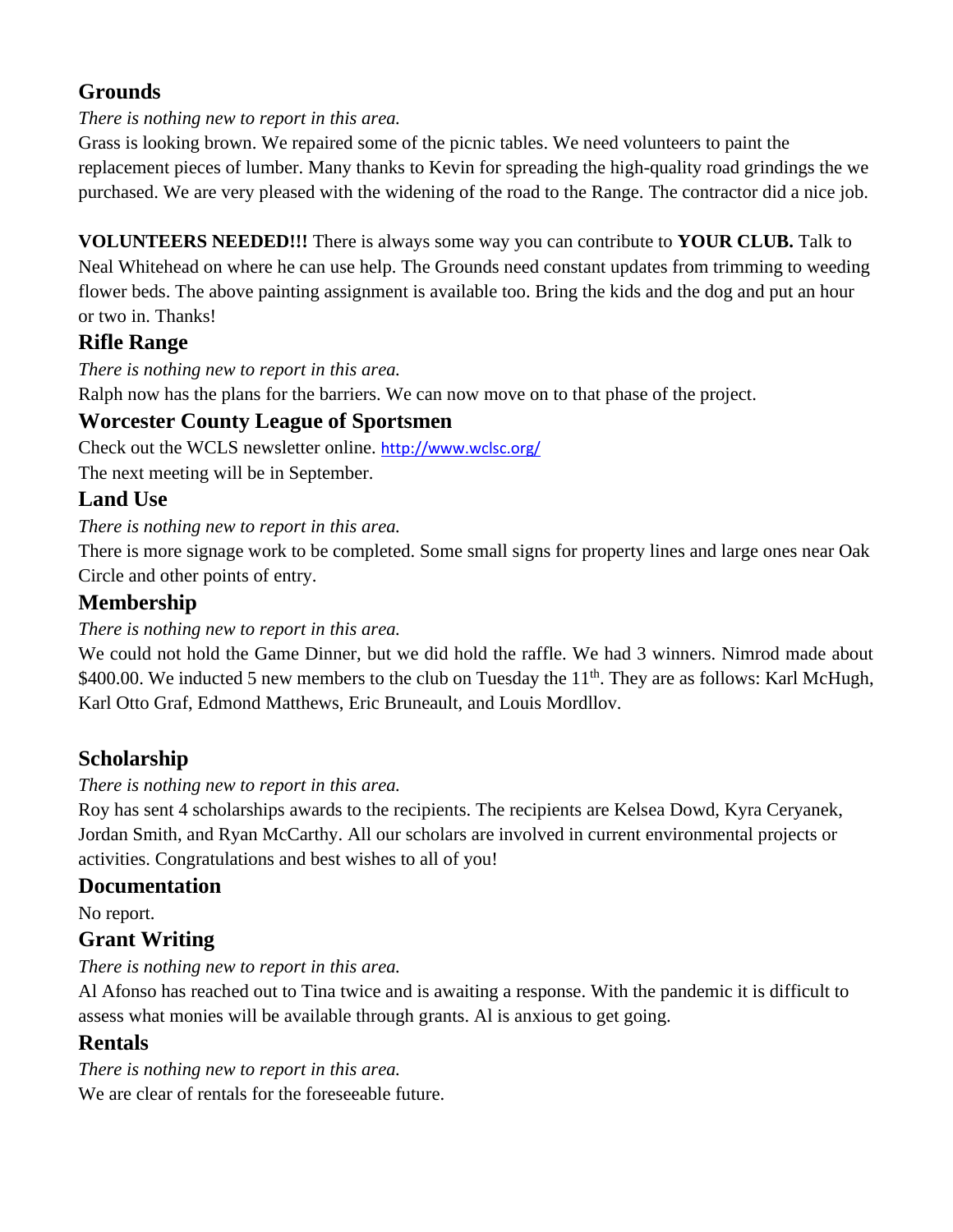# **Grounds**

#### *There is nothing new to report in this area.*

Grass is looking brown. We repaired some of the picnic tables. We need volunteers to paint the replacement pieces of lumber. Many thanks to Kevin for spreading the high-quality road grindings the we purchased. We are very pleased with the widening of the road to the Range. The contractor did a nice job.

**VOLUNTEERS NEEDED!!!** There is always some way you can contribute to **YOUR CLUB.** Talk to Neal Whitehead on where he can use help. The Grounds need constant updates from trimming to weeding flower beds. The above painting assignment is available too. Bring the kids and the dog and put an hour or two in. Thanks!

## **Rifle Range**

*There is nothing new to report in this area.*

Ralph now has the plans for the barriers. We can now move on to that phase of the project.

## **Worcester County League of Sportsmen**

Check out the WCLS newsletter online. <http://www.wclsc.org/>

The next meeting will be in September.

# **Land Use**

#### *There is nothing new to report in this area.*

There is more signage work to be completed. Some small signs for property lines and large ones near Oak Circle and other points of entry.

# **Membership**

#### *There is nothing new to report in this area.*

We could not hold the Game Dinner, but we did hold the raffle. We had 3 winners. Nimrod made about \$400.00. We inducted 5 new members to the club on Tuesday the  $11<sup>th</sup>$ . They are as follows: Karl McHugh, Karl Otto Graf, Edmond Matthews, Eric Bruneault, and Louis Mordllov.

## **Scholarship**

#### *There is nothing new to report in this area.*

Roy has sent 4 scholarships awards to the recipients. The recipients are Kelsea Dowd, Kyra Ceryanek, Jordan Smith, and Ryan McCarthy. All our scholars are involved in current environmental projects or activities. Congratulations and best wishes to all of you!

#### **Documentation**

No report.

## **Grant Writing**

*There is nothing new to report in this area.*

Al Afonso has reached out to Tina twice and is awaiting a response. With the pandemic it is difficult to assess what monies will be available through grants. Al is anxious to get going.

## **Rentals**

*There is nothing new to report in this area.* We are clear of rentals for the foreseeable future.